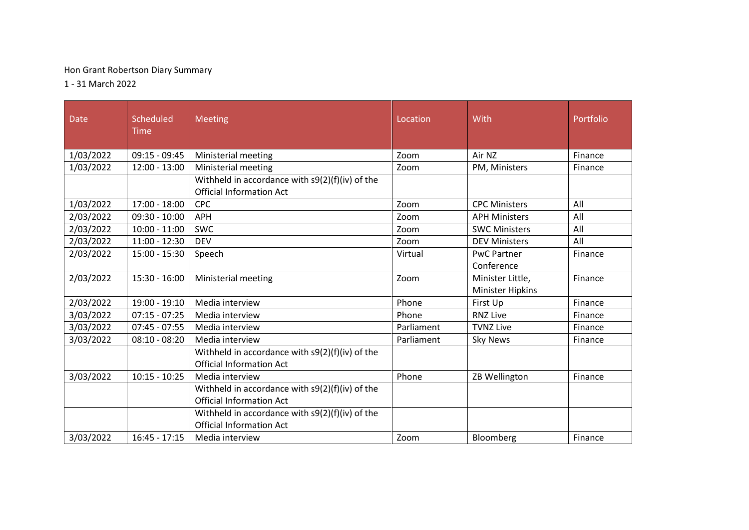## Hon Grant Robertson Diary Summary

1 - 31 March 2022

| Date      | Scheduled<br>Time | Meeting                                                                                                                                   | Location   | With                                        | Portfolio |
|-----------|-------------------|-------------------------------------------------------------------------------------------------------------------------------------------|------------|---------------------------------------------|-----------|
| 1/03/2022 | $09:15 - 09:45$   | Ministerial meeting                                                                                                                       | Zoom       | Air NZ                                      | Finance   |
| 1/03/2022 | $12:00 - 13:00$   | Ministerial meeting                                                                                                                       | Zoom       | PM, Ministers                               | Finance   |
|           |                   | Withheld in accordance with s9(2)(f)(iv) of the<br><b>Official Information Act</b>                                                        |            |                                             |           |
| 1/03/2022 | $17:00 - 18:00$   | CPC                                                                                                                                       | Zoom       | <b>CPC Ministers</b>                        | All       |
| 2/03/2022 | $09:30 - 10:00$   | <b>APH</b>                                                                                                                                | Zoom       | <b>APH Ministers</b>                        | All       |
| 2/03/2022 | $10:00 - 11:00$   | <b>SWC</b>                                                                                                                                | Zoom       | <b>SWC Ministers</b>                        | All       |
| 2/03/2022 | $11:00 - 12:30$   | <b>DEV</b>                                                                                                                                | Zoom       | <b>DEV Ministers</b>                        | All       |
| 2/03/2022 | $15:00 - 15:30$   | Speech                                                                                                                                    | Virtual    | <b>PwC Partner</b><br>Conference            | Finance   |
| 2/03/2022 | $15:30 - 16:00$   | Ministerial meeting                                                                                                                       | Zoom       | Minister Little,<br><b>Minister Hipkins</b> | Finance   |
| 2/03/2022 | 19:00 - 19:10     | Media interview                                                                                                                           | Phone      | First Up                                    | Finance   |
| 3/03/2022 | $07:15 - 07:25$   | Media interview                                                                                                                           | Phone      | <b>RNZ Live</b>                             | Finance   |
| 3/03/2022 | $07:45 - 07:55$   | Media interview                                                                                                                           | Parliament | <b>TVNZ Live</b>                            | Finance   |
| 3/03/2022 | $08:10 - 08:20$   | Media interview                                                                                                                           | Parliament | <b>Sky News</b>                             | Finance   |
|           |                   | Withheld in accordance with $s9(2)(f)(iv)$ of the<br><b>Official Information Act</b>                                                      |            |                                             |           |
| 3/03/2022 | $10:15 - 10:25$   | Media interview                                                                                                                           | Phone      | ZB Wellington                               | Finance   |
|           |                   | Withheld in accordance with $s9(2)(f)(iv)$ of the<br><b>Official Information Act</b><br>Withheld in accordance with $s9(2)(f)(iv)$ of the |            |                                             |           |
|           |                   | <b>Official Information Act</b>                                                                                                           |            |                                             |           |
| 3/03/2022 | $16:45 - 17:15$   | Media interview                                                                                                                           | Zoom       | Bloomberg                                   | Finance   |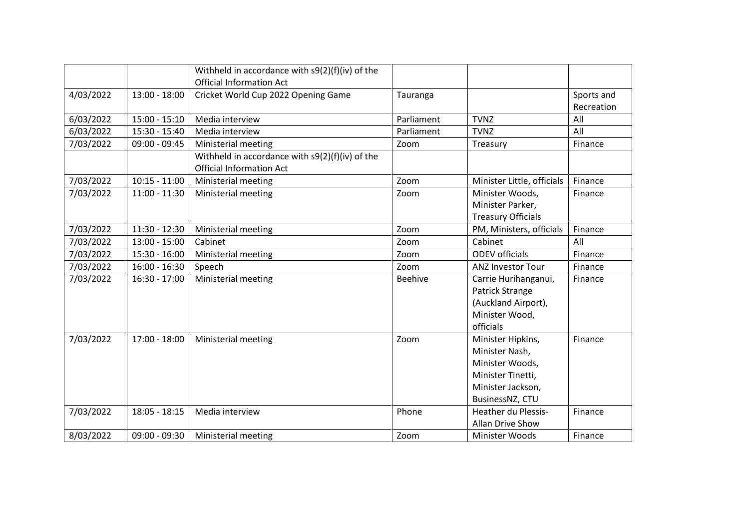|           |                 | Withheld in accordance with $s9(2)(f)(iv)$ of the<br><b>Official Information Act</b> |                |                            |                          |
|-----------|-----------------|--------------------------------------------------------------------------------------|----------------|----------------------------|--------------------------|
| 4/03/2022 | 13:00 - 18:00   | Cricket World Cup 2022 Opening Game                                                  | Tauranga       |                            | Sports and<br>Recreation |
| 6/03/2022 | $15:00 - 15:10$ | Media interview                                                                      | Parliament     | <b>TVNZ</b>                | All                      |
| 6/03/2022 | 15:30 - 15:40   | Media interview                                                                      | Parliament     | <b>TVNZ</b>                | All                      |
| 7/03/2022 | 09:00 - 09:45   | Ministerial meeting                                                                  | Zoom           | Treasury                   | Finance                  |
|           |                 | Withheld in accordance with $s9(2)(f)(iv)$ of the<br><b>Official Information Act</b> |                |                            |                          |
| 7/03/2022 | $10:15 - 11:00$ | Ministerial meeting                                                                  | Zoom           | Minister Little, officials | Finance                  |
| 7/03/2022 | $11:00 - 11:30$ | Ministerial meeting                                                                  | Zoom           | Minister Woods,            | Finance                  |
|           |                 |                                                                                      |                | Minister Parker,           |                          |
|           |                 |                                                                                      |                | <b>Treasury Officials</b>  |                          |
| 7/03/2022 | 11:30 - 12:30   | Ministerial meeting                                                                  | Zoom           | PM, Ministers, officials   | Finance                  |
| 7/03/2022 | $13:00 - 15:00$ | Cabinet                                                                              | Zoom           | Cabinet                    | All                      |
| 7/03/2022 | 15:30 - 16:00   | Ministerial meeting                                                                  | Zoom           | <b>ODEV</b> officials      | Finance                  |
| 7/03/2022 | $16:00 - 16:30$ | Speech                                                                               | Zoom           | <b>ANZ Investor Tour</b>   | Finance                  |
| 7/03/2022 | $16:30 - 17:00$ | Ministerial meeting                                                                  | <b>Beehive</b> | Carrie Hurihanganui,       | Finance                  |
|           |                 |                                                                                      |                | Patrick Strange            |                          |
|           |                 |                                                                                      |                | (Auckland Airport),        |                          |
|           |                 |                                                                                      |                | Minister Wood,             |                          |
|           |                 |                                                                                      |                | officials                  |                          |
| 7/03/2022 | 17:00 - 18:00   | Ministerial meeting                                                                  | Zoom           | Minister Hipkins,          | Finance                  |
|           |                 |                                                                                      |                | Minister Nash,             |                          |
|           |                 |                                                                                      |                | Minister Woods,            |                          |
|           |                 |                                                                                      |                | Minister Tinetti,          |                          |
|           |                 |                                                                                      |                | Minister Jackson,          |                          |
|           |                 |                                                                                      |                | BusinessNZ, CTU            |                          |
| 7/03/2022 | 18:05 - 18:15   | Media interview                                                                      | Phone          | <b>Heather du Plessis-</b> | Finance                  |
|           |                 |                                                                                      |                | Allan Drive Show           |                          |
| 8/03/2022 | $09:00 - 09:30$ | Ministerial meeting                                                                  | Zoom           | Minister Woods             | Finance                  |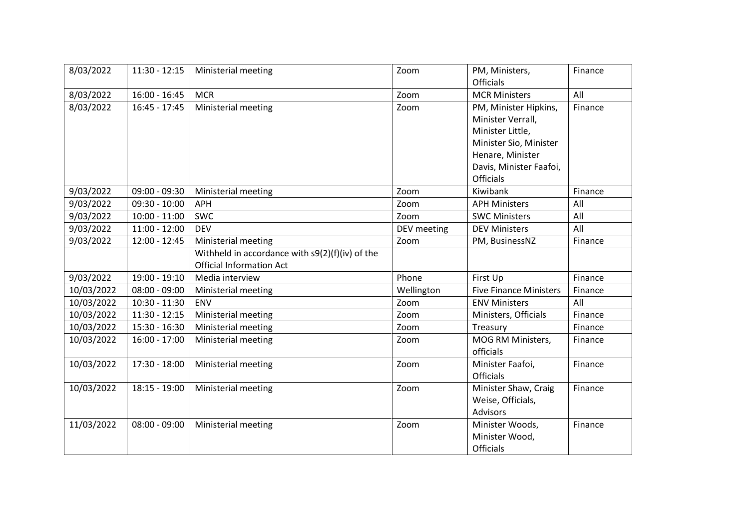| 8/03/2022  | $11:30 - 12:15$ | Ministerial meeting                             | Zoom        | PM, Ministers,                | Finance |
|------------|-----------------|-------------------------------------------------|-------------|-------------------------------|---------|
|            |                 |                                                 |             | Officials                     |         |
| 8/03/2022  | $16:00 - 16:45$ | <b>MCR</b>                                      | Zoom        | <b>MCR Ministers</b>          | All     |
| 8/03/2022  | $16:45 - 17:45$ | Ministerial meeting                             | Zoom        | PM, Minister Hipkins,         | Finance |
|            |                 |                                                 |             | Minister Verrall,             |         |
|            |                 |                                                 |             | Minister Little,              |         |
|            |                 |                                                 |             | Minister Sio, Minister        |         |
|            |                 |                                                 |             | Henare, Minister              |         |
|            |                 |                                                 |             | Davis, Minister Faafoi,       |         |
|            |                 |                                                 |             | <b>Officials</b>              |         |
| 9/03/2022  | $09:00 - 09:30$ | Ministerial meeting                             | Zoom        | Kiwibank                      | Finance |
| 9/03/2022  | $09:30 - 10:00$ | <b>APH</b>                                      | Zoom        | <b>APH Ministers</b>          | All     |
| 9/03/2022  | $10:00 - 11:00$ | <b>SWC</b>                                      | Zoom        | <b>SWC Ministers</b>          | All     |
| 9/03/2022  | $11:00 - 12:00$ | <b>DEV</b>                                      | DEV meeting | <b>DEV Ministers</b>          | All     |
| 9/03/2022  | 12:00 - 12:45   | Ministerial meeting                             | Zoom        | PM, BusinessNZ                | Finance |
|            |                 | Withheld in accordance with s9(2)(f)(iv) of the |             |                               |         |
|            |                 | <b>Official Information Act</b>                 |             |                               |         |
| 9/03/2022  | 19:00 - 19:10   | Media interview                                 | Phone       | First Up                      | Finance |
| 10/03/2022 | $08:00 - 09:00$ | Ministerial meeting                             | Wellington  | <b>Five Finance Ministers</b> | Finance |
| 10/03/2022 | $10:30 - 11:30$ | ENV                                             | Zoom        | <b>ENV Ministers</b>          | All     |
| 10/03/2022 | $11:30 - 12:15$ | Ministerial meeting                             | Zoom        | Ministers, Officials          | Finance |
| 10/03/2022 | $15:30 - 16:30$ | Ministerial meeting                             | Zoom        | Treasury                      | Finance |
| 10/03/2022 | $16:00 - 17:00$ | Ministerial meeting                             | Zoom        | MOG RM Ministers,             | Finance |
|            |                 |                                                 |             | officials                     |         |
| 10/03/2022 | 17:30 - 18:00   | Ministerial meeting                             | Zoom        | Minister Faafoi,              | Finance |
|            |                 |                                                 |             | Officials                     |         |
| 10/03/2022 | $18:15 - 19:00$ | Ministerial meeting                             | Zoom        | Minister Shaw, Craig          | Finance |
|            |                 |                                                 |             | Weise, Officials,             |         |
|            |                 |                                                 |             | Advisors                      |         |
| 11/03/2022 | $08:00 - 09:00$ | Ministerial meeting                             | Zoom        | Minister Woods,               | Finance |
|            |                 |                                                 |             | Minister Wood,                |         |
|            |                 |                                                 |             | Officials                     |         |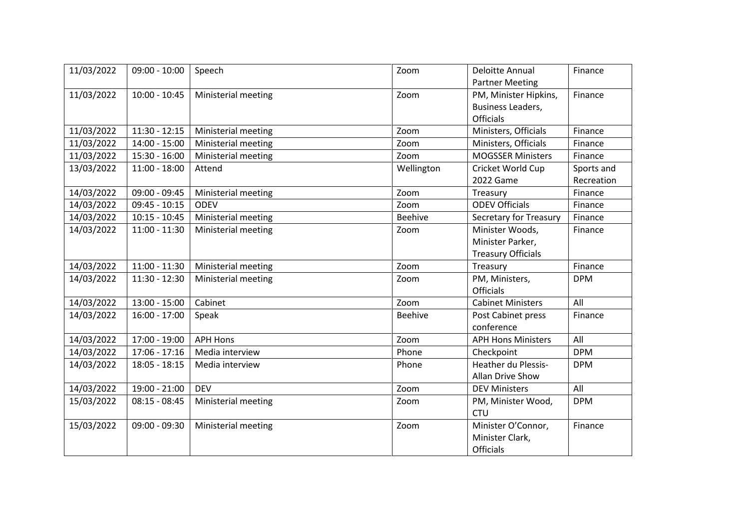| 11/03/2022 | $09:00 - 10:00$ | Speech              | Zoom           | <b>Deloitte Annual</b>    | Finance    |
|------------|-----------------|---------------------|----------------|---------------------------|------------|
|            |                 |                     |                | <b>Partner Meeting</b>    |            |
| 11/03/2022 | $10:00 - 10:45$ | Ministerial meeting | Zoom           | PM, Minister Hipkins,     | Finance    |
|            |                 |                     |                | <b>Business Leaders,</b>  |            |
|            |                 |                     |                | <b>Officials</b>          |            |
| 11/03/2022 | $11:30 - 12:15$ | Ministerial meeting | Zoom           | Ministers, Officials      | Finance    |
| 11/03/2022 | $14:00 - 15:00$ | Ministerial meeting | Zoom           | Ministers, Officials      | Finance    |
| 11/03/2022 | 15:30 - 16:00   | Ministerial meeting | Zoom           | <b>MOGSSER Ministers</b>  | Finance    |
| 13/03/2022 | $11:00 - 18:00$ | Attend              | Wellington     | Cricket World Cup         | Sports and |
|            |                 |                     |                | 2022 Game                 | Recreation |
| 14/03/2022 | 09:00 - 09:45   | Ministerial meeting | Zoom           | Treasury                  | Finance    |
| 14/03/2022 | $09:45 - 10:15$ | <b>ODEV</b>         | Zoom           | <b>ODEV Officials</b>     | Finance    |
| 14/03/2022 | $10:15 - 10:45$ | Ministerial meeting | Beehive        | Secretary for Treasury    | Finance    |
| 14/03/2022 | $11:00 - 11:30$ | Ministerial meeting | Zoom           | Minister Woods,           | Finance    |
|            |                 |                     |                | Minister Parker,          |            |
|            |                 |                     |                | <b>Treasury Officials</b> |            |
| 14/03/2022 | $11:00 - 11:30$ | Ministerial meeting | Zoom           | Treasury                  | Finance    |
| 14/03/2022 | 11:30 - 12:30   | Ministerial meeting | Zoom           | PM, Ministers,            | <b>DPM</b> |
|            |                 |                     |                | <b>Officials</b>          |            |
| 14/03/2022 | $13:00 - 15:00$ | Cabinet             | Zoom           | <b>Cabinet Ministers</b>  | All        |
| 14/03/2022 | $16:00 - 17:00$ | Speak               | <b>Beehive</b> | Post Cabinet press        | Finance    |
|            |                 |                     |                | conference                |            |
| 14/03/2022 | 17:00 - 19:00   | <b>APH Hons</b>     | Zoom           | <b>APH Hons Ministers</b> | All        |
| 14/03/2022 | $17:06 - 17:16$ | Media interview     | Phone          | Checkpoint                | <b>DPM</b> |
| 14/03/2022 | $18:05 - 18:15$ | Media interview     | Phone          | Heather du Plessis-       | <b>DPM</b> |
|            |                 |                     |                | Allan Drive Show          |            |
| 14/03/2022 | 19:00 - 21:00   | <b>DEV</b>          | Zoom           | <b>DEV Ministers</b>      | All        |
| 15/03/2022 | $08:15 - 08:45$ | Ministerial meeting | Zoom           | PM, Minister Wood,        | <b>DPM</b> |
|            |                 |                     |                | <b>CTU</b>                |            |
| 15/03/2022 | $09:00 - 09:30$ | Ministerial meeting | Zoom           | Minister O'Connor,        | Finance    |
|            |                 |                     |                | Minister Clark,           |            |
|            |                 |                     |                | <b>Officials</b>          |            |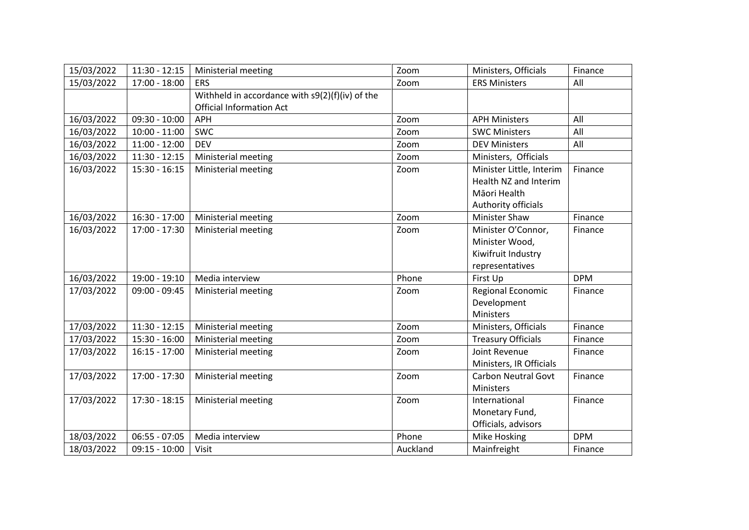| 15/03/2022 | $11:30 - 12:15$ | Ministerial meeting                             | Zoom     | Ministers, Officials       | Finance    |
|------------|-----------------|-------------------------------------------------|----------|----------------------------|------------|
| 15/03/2022 | $17:00 - 18:00$ | <b>ERS</b>                                      | Zoom     | <b>ERS Ministers</b>       | All        |
|            |                 | Withheld in accordance with s9(2)(f)(iv) of the |          |                            |            |
|            |                 | <b>Official Information Act</b>                 |          |                            |            |
| 16/03/2022 | $09:30 - 10:00$ | <b>APH</b>                                      | Zoom     | <b>APH Ministers</b>       | All        |
| 16/03/2022 | $10:00 - 11:00$ | <b>SWC</b>                                      | Zoom     | <b>SWC Ministers</b>       | All        |
| 16/03/2022 | 11:00 - 12:00   | <b>DEV</b>                                      | Zoom     | <b>DEV Ministers</b>       | All        |
| 16/03/2022 | $11:30 - 12:15$ | Ministerial meeting                             | Zoom     | Ministers, Officials       |            |
| 16/03/2022 | $15:30 - 16:15$ | Ministerial meeting                             | Zoom     | Minister Little, Interim   | Finance    |
|            |                 |                                                 |          | Health NZ and Interim      |            |
|            |                 |                                                 |          | Māori Health               |            |
|            |                 |                                                 |          | Authority officials        |            |
| 16/03/2022 | 16:30 - 17:00   | Ministerial meeting                             | Zoom     | <b>Minister Shaw</b>       | Finance    |
| 16/03/2022 | 17:00 - 17:30   | Ministerial meeting                             | Zoom     | Minister O'Connor,         | Finance    |
|            |                 |                                                 |          | Minister Wood,             |            |
|            |                 |                                                 |          | Kiwifruit Industry         |            |
|            |                 |                                                 |          | representatives            |            |
| 16/03/2022 | 19:00 - 19:10   | Media interview                                 | Phone    | First Up                   | <b>DPM</b> |
| 17/03/2022 | 09:00 - 09:45   | Ministerial meeting                             | Zoom     | Regional Economic          | Finance    |
|            |                 |                                                 |          | Development                |            |
|            |                 |                                                 |          | Ministers                  |            |
| 17/03/2022 | $11:30 - 12:15$ | Ministerial meeting                             | Zoom     | Ministers, Officials       | Finance    |
| 17/03/2022 | $15:30 - 16:00$ | Ministerial meeting                             | Zoom     | <b>Treasury Officials</b>  | Finance    |
| 17/03/2022 | $16:15 - 17:00$ | Ministerial meeting                             | Zoom     | Joint Revenue              | Finance    |
|            |                 |                                                 |          | Ministers, IR Officials    |            |
| 17/03/2022 | 17:00 - 17:30   | Ministerial meeting                             | Zoom     | <b>Carbon Neutral Govt</b> | Finance    |
|            |                 |                                                 |          | Ministers                  |            |
| 17/03/2022 | 17:30 - 18:15   | Ministerial meeting                             | Zoom     | International              | Finance    |
|            |                 |                                                 |          | Monetary Fund,             |            |
|            |                 |                                                 |          | Officials, advisors        |            |
| 18/03/2022 | $06:55 - 07:05$ | Media interview                                 | Phone    | Mike Hosking               | <b>DPM</b> |
| 18/03/2022 | $09:15 - 10:00$ | Visit                                           | Auckland | Mainfreight                | Finance    |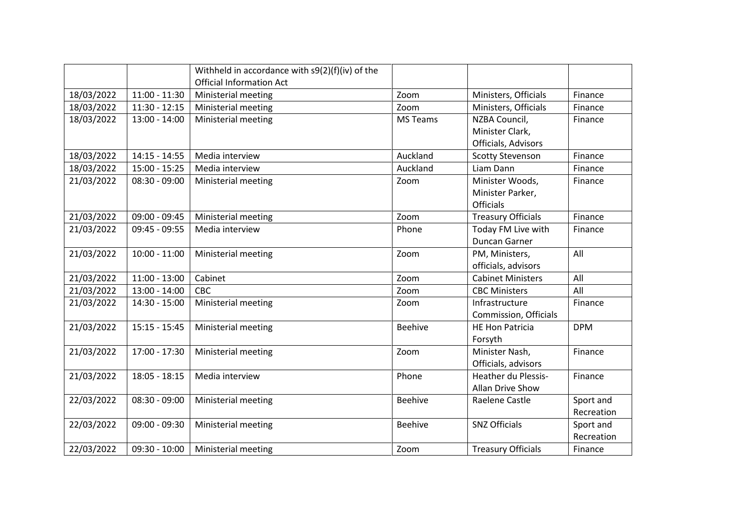|            |                 | Withheld in accordance with s9(2)(f)(iv) of the<br><b>Official Information Act</b> |                 |                            |            |
|------------|-----------------|------------------------------------------------------------------------------------|-----------------|----------------------------|------------|
| 18/03/2022 | $11:00 - 11:30$ | Ministerial meeting                                                                | Zoom            | Ministers, Officials       | Finance    |
| 18/03/2022 | $11:30 - 12:15$ | Ministerial meeting                                                                | Zoom            | Ministers, Officials       | Finance    |
| 18/03/2022 | $13:00 - 14:00$ | <b>Ministerial meeting</b>                                                         | <b>MS Teams</b> | NZBA Council,              | Finance    |
|            |                 |                                                                                    |                 | Minister Clark,            |            |
|            |                 |                                                                                    |                 | Officials, Advisors        |            |
| 18/03/2022 | $14:15 - 14:55$ | Media interview                                                                    | Auckland        | <b>Scotty Stevenson</b>    | Finance    |
| 18/03/2022 | 15:00 - 15:25   | Media interview                                                                    | Auckland        | Liam Dann                  | Finance    |
| 21/03/2022 | $08:30 - 09:00$ | Ministerial meeting                                                                | Zoom            | Minister Woods,            | Finance    |
|            |                 |                                                                                    |                 | Minister Parker,           |            |
|            |                 |                                                                                    |                 | <b>Officials</b>           |            |
| 21/03/2022 | 09:00 - 09:45   | Ministerial meeting                                                                | Zoom            | <b>Treasury Officials</b>  | Finance    |
| 21/03/2022 | $09:45 - 09:55$ | Media interview                                                                    | Phone           | Today FM Live with         | Finance    |
|            |                 |                                                                                    |                 | Duncan Garner              |            |
| 21/03/2022 | $10:00 - 11:00$ | Ministerial meeting                                                                | Zoom            | PM, Ministers,             | All        |
|            |                 |                                                                                    |                 | officials, advisors        |            |
| 21/03/2022 | $11:00 - 13:00$ | Cabinet                                                                            | Zoom            | <b>Cabinet Ministers</b>   | All        |
| 21/03/2022 | 13:00 - 14:00   | CBC                                                                                | Zoom            | <b>CBC Ministers</b>       | All        |
| 21/03/2022 | 14:30 - 15:00   | Ministerial meeting                                                                | Zoom            | Infrastructure             | Finance    |
|            |                 |                                                                                    |                 | Commission, Officials      |            |
| 21/03/2022 | $15:15 - 15:45$ | Ministerial meeting                                                                | <b>Beehive</b>  | <b>HE Hon Patricia</b>     | <b>DPM</b> |
|            |                 |                                                                                    |                 | Forsyth                    |            |
| 21/03/2022 | 17:00 - 17:30   | Ministerial meeting                                                                | Zoom            | Minister Nash,             | Finance    |
|            |                 |                                                                                    |                 | Officials, advisors        |            |
| 21/03/2022 | $18:05 - 18:15$ | Media interview                                                                    | Phone           | <b>Heather du Plessis-</b> | Finance    |
|            |                 |                                                                                    |                 | Allan Drive Show           |            |
| 22/03/2022 | $08:30 - 09:00$ | Ministerial meeting                                                                | <b>Beehive</b>  | Raelene Castle             | Sport and  |
|            |                 |                                                                                    |                 |                            | Recreation |
| 22/03/2022 | 09:00 - 09:30   | Ministerial meeting                                                                | <b>Beehive</b>  | <b>SNZ Officials</b>       | Sport and  |
|            |                 |                                                                                    |                 |                            | Recreation |
| 22/03/2022 | $09:30 - 10:00$ | Ministerial meeting                                                                | Zoom            | <b>Treasury Officials</b>  | Finance    |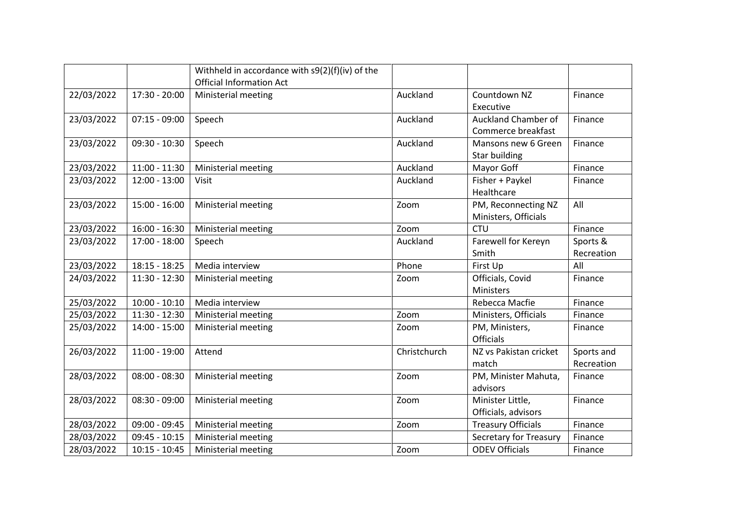|            |                 | Withheld in accordance with $s9(2)(f)(iv)$ of the<br><b>Official Information Act</b> |              |                           |            |
|------------|-----------------|--------------------------------------------------------------------------------------|--------------|---------------------------|------------|
|            |                 |                                                                                      |              |                           |            |
| 22/03/2022 | 17:30 - 20:00   | Ministerial meeting                                                                  | Auckland     | Countdown NZ              | Finance    |
|            |                 |                                                                                      |              | Executive                 |            |
| 23/03/2022 | $07:15 - 09:00$ | Speech                                                                               | Auckland     | Auckland Chamber of       | Finance    |
|            |                 |                                                                                      |              | Commerce breakfast        |            |
| 23/03/2022 | $09:30 - 10:30$ | Speech                                                                               | Auckland     | Mansons new 6 Green       | Finance    |
|            |                 |                                                                                      |              | Star building             |            |
| 23/03/2022 | $11:00 - 11:30$ | Ministerial meeting                                                                  | Auckland     | Mayor Goff                | Finance    |
| 23/03/2022 | 12:00 - 13:00   | Visit                                                                                | Auckland     | Fisher + Paykel           | Finance    |
|            |                 |                                                                                      |              | Healthcare                |            |
| 23/03/2022 | $15:00 - 16:00$ | Ministerial meeting                                                                  | Zoom         | PM, Reconnecting NZ       | All        |
|            |                 |                                                                                      |              | Ministers, Officials      |            |
| 23/03/2022 | $16:00 - 16:30$ | Ministerial meeting                                                                  | Zoom         | <b>CTU</b>                | Finance    |
| 23/03/2022 | 17:00 - 18:00   | Speech                                                                               | Auckland     | Farewell for Kereyn       | Sports &   |
|            |                 |                                                                                      |              | Smith                     | Recreation |
| 23/03/2022 | $18:15 - 18:25$ | Media interview                                                                      | Phone        | First Up                  | All        |
| 24/03/2022 | 11:30 - 12:30   | Ministerial meeting                                                                  | Zoom         | Officials, Covid          | Finance    |
|            |                 |                                                                                      |              | Ministers                 |            |
| 25/03/2022 | $10:00 - 10:10$ | Media interview                                                                      |              | Rebecca Macfie            | Finance    |
| 25/03/2022 | 11:30 - 12:30   | Ministerial meeting                                                                  | Zoom         | Ministers, Officials      | Finance    |
| 25/03/2022 | 14:00 - 15:00   | Ministerial meeting                                                                  | Zoom         | PM, Ministers,            | Finance    |
|            |                 |                                                                                      |              | Officials                 |            |
| 26/03/2022 | $11:00 - 19:00$ | Attend                                                                               | Christchurch | NZ vs Pakistan cricket    | Sports and |
|            |                 |                                                                                      |              | match                     | Recreation |
| 28/03/2022 | $08:00 - 08:30$ | Ministerial meeting                                                                  | Zoom         | PM, Minister Mahuta,      | Finance    |
|            |                 |                                                                                      |              | advisors                  |            |
| 28/03/2022 | $08:30 - 09:00$ | Ministerial meeting                                                                  | Zoom         | Minister Little,          | Finance    |
|            |                 |                                                                                      |              | Officials, advisors       |            |
| 28/03/2022 | 09:00 - 09:45   | Ministerial meeting                                                                  | Zoom         | <b>Treasury Officials</b> | Finance    |
| 28/03/2022 | 09:45 - 10:15   | Ministerial meeting                                                                  |              | Secretary for Treasury    | Finance    |
| 28/03/2022 | $10:15 - 10:45$ | Ministerial meeting                                                                  | Zoom         | <b>ODEV Officials</b>     | Finance    |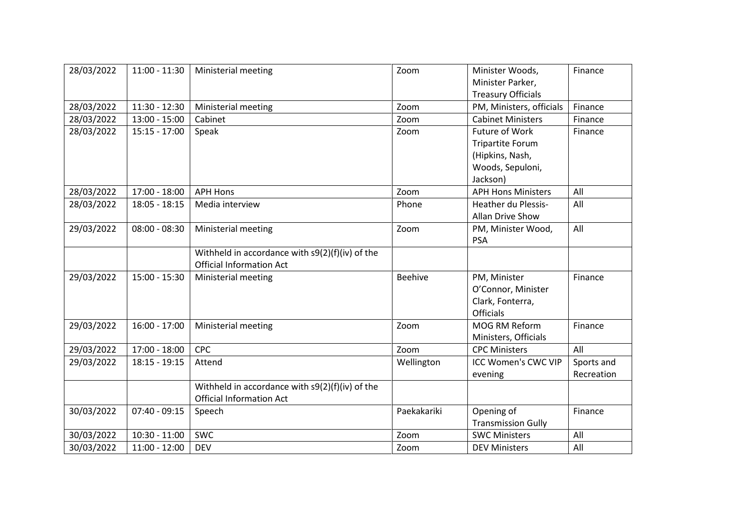| 28/03/2022 | $11:00 - 11:30$ | Ministerial meeting                               | Zoom           | Minister Woods,            | Finance    |
|------------|-----------------|---------------------------------------------------|----------------|----------------------------|------------|
|            |                 |                                                   |                | Minister Parker,           |            |
|            |                 |                                                   |                | <b>Treasury Officials</b>  |            |
| 28/03/2022 | $11:30 - 12:30$ | Ministerial meeting                               | Zoom           | PM, Ministers, officials   | Finance    |
| 28/03/2022 | $13:00 - 15:00$ | Cabinet                                           | Zoom           | <b>Cabinet Ministers</b>   | Finance    |
| 28/03/2022 | $15:15 - 17:00$ | Speak                                             | Zoom           | Future of Work             | Finance    |
|            |                 |                                                   |                | <b>Tripartite Forum</b>    |            |
|            |                 |                                                   |                | (Hipkins, Nash,            |            |
|            |                 |                                                   |                | Woods, Sepuloni,           |            |
|            |                 |                                                   |                | Jackson)                   |            |
| 28/03/2022 | $17:00 - 18:00$ | <b>APH Hons</b>                                   | Zoom           | <b>APH Hons Ministers</b>  | All        |
| 28/03/2022 | $18:05 - 18:15$ | Media interview                                   | Phone          | <b>Heather du Plessis-</b> | All        |
|            |                 |                                                   |                | Allan Drive Show           |            |
| 29/03/2022 | $08:00 - 08:30$ | Ministerial meeting                               | Zoom           | PM, Minister Wood,         | All        |
|            |                 |                                                   |                | <b>PSA</b>                 |            |
|            |                 | Withheld in accordance with $s9(2)(f)(iv)$ of the |                |                            |            |
|            |                 | <b>Official Information Act</b>                   |                |                            |            |
| 29/03/2022 | $15:00 - 15:30$ | Ministerial meeting                               | <b>Beehive</b> | PM, Minister               | Finance    |
|            |                 |                                                   |                | O'Connor, Minister         |            |
|            |                 |                                                   |                | Clark, Fonterra,           |            |
|            |                 |                                                   |                | <b>Officials</b>           |            |
| 29/03/2022 | $16:00 - 17:00$ | Ministerial meeting                               | Zoom           | MOG RM Reform              | Finance    |
|            |                 |                                                   |                | Ministers, Officials       |            |
| 29/03/2022 | $17:00 - 18:00$ | CPC                                               | Zoom           | <b>CPC Ministers</b>       | All        |
| 29/03/2022 | 18:15 - 19:15   | Attend                                            | Wellington     | <b>ICC Women's CWC VIP</b> | Sports and |
|            |                 |                                                   |                | evening                    | Recreation |
|            |                 | Withheld in accordance with $s9(2)(f)(iv)$ of the |                |                            |            |
|            |                 | <b>Official Information Act</b>                   |                |                            |            |
| 30/03/2022 | $07:40 - 09:15$ | Speech                                            | Paekakariki    | Opening of                 | Finance    |
|            |                 |                                                   |                | <b>Transmission Gully</b>  |            |
| 30/03/2022 | $10:30 - 11:00$ | <b>SWC</b>                                        | Zoom           | <b>SWC Ministers</b>       | All        |
| 30/03/2022 | $11:00 - 12:00$ | <b>DEV</b>                                        | Zoom           | <b>DEV Ministers</b>       | All        |